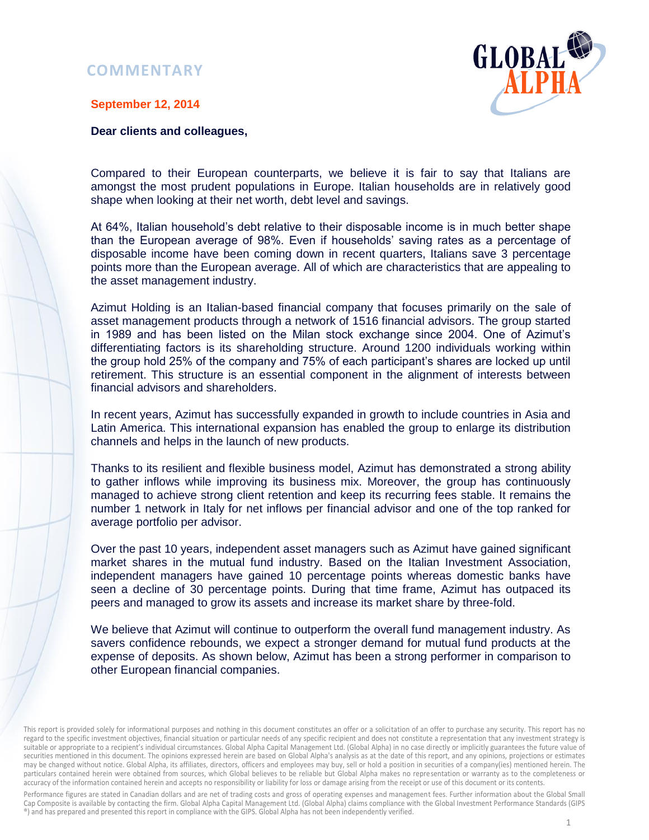## **COMMENTARY**



## **September 12, 2014**

## **Dear clients and colleagues,**

Compared to their European counterparts, we believe it is fair to say that Italians are amongst the most prudent populations in Europe. Italian households are in relatively good shape when looking at their net worth, debt level and savings.

At 64%, Italian household's debt relative to their disposable income is in much better shape than the European average of 98%. Even if households' saving rates as a percentage of disposable income have been coming down in recent quarters, Italians save 3 percentage points more than the European average. All of which are characteristics that are appealing to the asset management industry.

Azimut Holding is an Italian-based financial company that focuses primarily on the sale of asset management products through a network of 1516 financial advisors. The group started in 1989 and has been listed on the Milan stock exchange since 2004. One of Azimut's differentiating factors is its shareholding structure. Around 1200 individuals working within the group hold 25% of the company and 75% of each participant's shares are locked up until retirement. This structure is an essential component in the alignment of interests between financial advisors and shareholders.

In recent years, Azimut has successfully expanded in growth to include countries in Asia and Latin America. This international expansion has enabled the group to enlarge its distribution channels and helps in the launch of new products.

Thanks to its resilient and flexible business model, Azimut has demonstrated a strong ability to gather inflows while improving its business mix. Moreover, the group has continuously managed to achieve strong client retention and keep its recurring fees stable. It remains the number 1 network in Italy for net inflows per financial advisor and one of the top ranked for average portfolio per advisor.

Over the past 10 years, independent asset managers such as Azimut have gained significant market shares in the mutual fund industry. Based on the Italian Investment Association, independent managers have gained 10 percentage points whereas domestic banks have seen a decline of 30 percentage points. During that time frame, Azimut has outpaced its peers and managed to grow its assets and increase its market share by three-fold.

We believe that Azimut will continue to outperform the overall fund management industry. As savers confidence rebounds, we expect a stronger demand for mutual fund products at the expense of deposits. As shown below, Azimut has been a strong performer in comparison to other European financial companies.

Performance figures are stated in Canadian dollars and are net of trading costs and gross of operating expenses and management fees. Further information about the Global Small Cap Composite is available by contacting the firm. Global Alpha Capital Management Ltd. (Global Alpha) claims compliance with the Global Investment Performance Standards (GIPS ®) and has prepared and presented this report in compliance with the GIPS. Global Alpha has not been independently verified.

This report is provided solely for informational purposes and nothing in this document constitutes an offer or a solicitation of an offer to purchase any security. This report has no regard to the specific investment objectives, financial situation or particular needs of any specific recipient and does not constitute a representation that any investment strategy is suitable or appropriate to a recipient's individual circumstances. Global Alpha Capital Management Ltd. (Global Alpha) in no case directly or implicitly guarantees the future value of securities mentioned in this document. The opinions expressed herein are based on Global Alpha's analysis as at the date of this report, and any opinions, projections or estimates may be changed without notice. Global Alpha, its affiliates, directors, officers and employees may buy, sell or hold a position in securities of a company(ies) mentioned herein. The particulars contained herein were obtained from sources, which Global believes to be reliable but Global Alpha makes no representation or warranty as to the completeness or accuracy of the information contained herein and accepts no responsibility or liability for loss or damage arising from the receipt or use of this document or its contents.